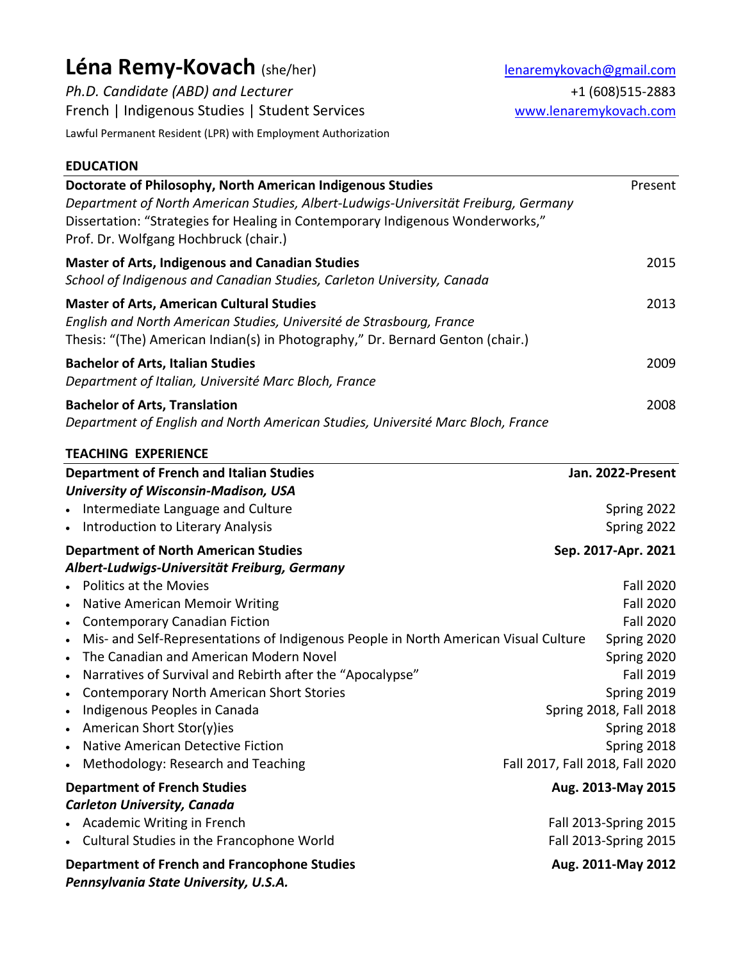# Léna Remy-Kovach (she/her) lenaremykovach@gmail.com

*Ph.D. Candidate (ABD) and Lecturer* +1 (608)515-2883 French | Indigenous Studies | Student Services [www.lenaremykovach.com](http://www.lenaremykovach.com/)

Lawful Permanent Resident (LPR) with Employment Authorization

# **EDUCATION**

| Doctorate of Philosophy, North American Indigenous Studies                                                              | Present |
|-------------------------------------------------------------------------------------------------------------------------|---------|
| Department of North American Studies, Albert-Ludwigs-Universität Freiburg, Germany                                      |         |
| Dissertation: "Strategies for Healing in Contemporary Indigenous Wonderworks,"<br>Prof. Dr. Wolfgang Hochbruck (chair.) |         |
| <b>Master of Arts, Indigenous and Canadian Studies</b>                                                                  | 2015    |
| School of Indigenous and Canadian Studies, Carleton University, Canada                                                  |         |
| <b>Master of Arts, American Cultural Studies</b>                                                                        | 2013    |
| English and North American Studies, Université de Strasbourg, France                                                    |         |
| Thesis: "(The) American Indian(s) in Photography," Dr. Bernard Genton (chair.)                                          |         |
| <b>Bachelor of Arts, Italian Studies</b>                                                                                | 2009    |
| Department of Italian, Université Marc Bloch, France                                                                    |         |
| <b>Bachelor of Arts, Translation</b>                                                                                    | 2008    |
| Department of English and North American Studies, Université Marc Bloch, France                                         |         |

| <b>TEACHING EXPERIENCE</b>                                                                       |                                 |
|--------------------------------------------------------------------------------------------------|---------------------------------|
| <b>Department of French and Italian Studies</b>                                                  | Jan. 2022-Present               |
| <b>University of Wisconsin-Madison, USA</b>                                                      |                                 |
| Intermediate Language and Culture                                                                | Spring 2022                     |
| Introduction to Literary Analysis                                                                | Spring 2022                     |
| <b>Department of North American Studies</b>                                                      | Sep. 2017-Apr. 2021             |
| Albert-Ludwigs-Universität Freiburg, Germany                                                     |                                 |
| <b>Politics at the Movies</b>                                                                    | <b>Fall 2020</b>                |
| <b>Native American Memoir Writing</b>                                                            | <b>Fall 2020</b>                |
| <b>Contemporary Canadian Fiction</b><br>$\bullet$                                                | <b>Fall 2020</b>                |
| Mis- and Self-Representations of Indigenous People in North American Visual Culture<br>$\bullet$ | Spring 2020                     |
| The Canadian and American Modern Novel                                                           | Spring 2020                     |
| Narratives of Survival and Rebirth after the "Apocalypse"                                        | <b>Fall 2019</b>                |
| <b>Contemporary North American Short Stories</b>                                                 | Spring 2019                     |
| Indigenous Peoples in Canada                                                                     | Spring 2018, Fall 2018          |
| American Short Stor(y)ies                                                                        | Spring 2018                     |
| <b>Native American Detective Fiction</b>                                                         | Spring 2018                     |
| Methodology: Research and Teaching                                                               | Fall 2017, Fall 2018, Fall 2020 |
| <b>Department of French Studies</b>                                                              | Aug. 2013-May 2015              |
| <b>Carleton University, Canada</b>                                                               |                                 |
| <b>Academic Writing in French</b>                                                                | Fall 2013-Spring 2015           |
| Cultural Studies in the Francophone World                                                        | Fall 2013-Spring 2015           |
| <b>Department of French and Francophone Studies</b><br>Pennsylvania State University, U.S.A.     | Aug. 2011-May 2012              |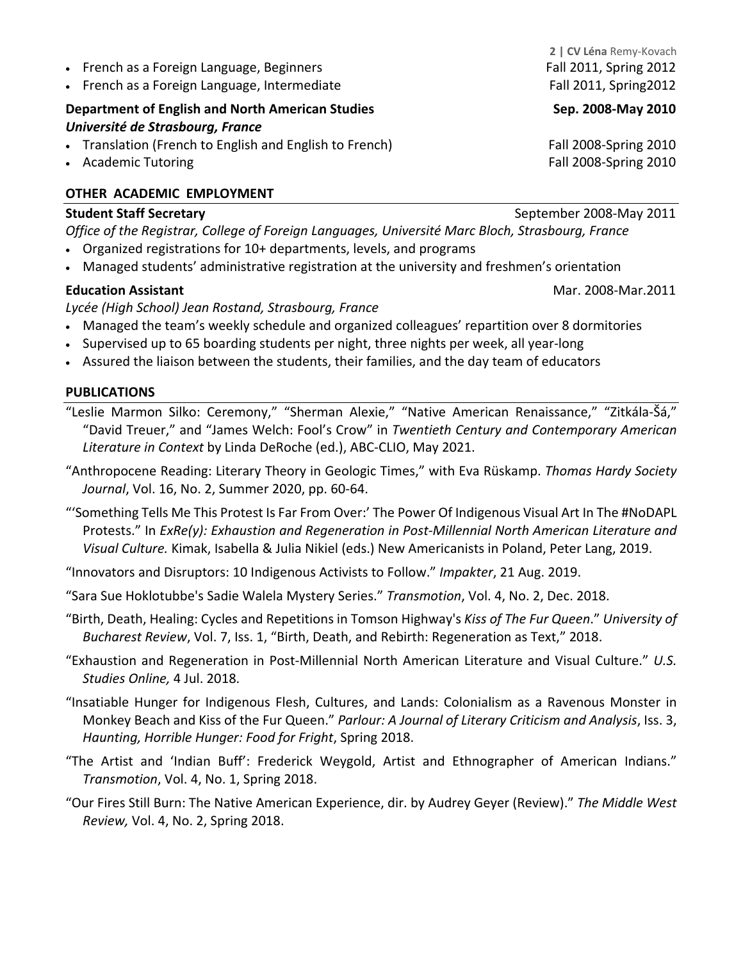- French as a Foreign Language, Beginners Fall 2011, Spring 2012
- French as a Foreign Language, Intermediate Fall 2011, Spring2012

# **Department of English and North American Studies Sep. 2008-May 2010** *Université de Strasbourg, France*

- Translation (French to English and English to French) Fall 2008-Spring 2010
- 

# **OTHER ACADEMIC EMPLOYMENT**

#### **Student Staff Secretary CENSISTED SEPTEMBER 2008-May 2011**

*Office of the Registrar, College of Foreign Languages, Université Marc Bloch, Strasbourg, France* 

- Organized registrations for 10+ departments, levels, and programs
- Managed students' administrative registration at the university and freshmen's orientation

### **Education Assistant** Mar. 2008-Mar.2011

#### *Lycée (High School) Jean Rostand, Strasbourg, France*

- Managed the team's weekly schedule and organized colleagues' repartition over 8 dormitories
- Supervised up to 65 boarding students per night, three nights per week, all year-long
- Assured the liaison between the students, their families, and the day team of educators

#### **PUBLICATIONS**

"Leslie Marmon Silko: Ceremony," "Sherman Alexie," "Native American Renaissance," "Zitkála-Šá," "David Treuer," and "James Welch: Fool's Crow" in *Twentieth Century and Contemporary American Literature in Context* by Linda DeRoche (ed.), ABC-CLIO, May 2021.

- "Anthropocene Reading: Literary Theory in Geologic Times," with Eva Rüskamp. *Thomas Hardy Society Journal*, Vol. 16, No. 2, Summer 2020, pp. 60-64.
- "'Something Tells Me This Protest Is Far From Over:' The Power Of Indigenous Visual Art In The #NoDAPL Protests." In *ExRe(y): Exhaustion and Regeneration in Post-Millennial North American Literature and Visual Culture.* Kimak, Isabella & Julia Nikiel (eds.) New Americanists in Poland, Peter Lang, 2019.
- "Innovators and Disruptors: 10 Indigenous Activists to Follow." *Impakter*, 21 Aug. 2019.
- "Sara Sue Hoklotubbe's Sadie Walela Mystery Series." *Transmotion*, Vol. 4, No. 2, Dec. 2018.
- "Birth, Death, Healing: Cycles and Repetitions in Tomson Highway's *Kiss of The Fur Queen*." *University of Bucharest Review*, Vol. 7, Iss. 1, "Birth, Death, and Rebirth: Regeneration as Text," 2018.
- "Exhaustion and Regeneration in Post-Millennial North American Literature and Visual Culture." *U.S. Studies Online,* 4 Jul. 2018.
- "Insatiable Hunger for Indigenous Flesh, Cultures, and Lands: Colonialism as a Ravenous Monster in Monkey Beach and Kiss of the Fur Queen." *Parlour: A Journal of Literary Criticism and Analysis*, Iss. 3, *Haunting, Horrible Hunger: Food for Fright*, Spring 2018.
- "The Artist and 'Indian Buff': Frederick Weygold, Artist and Ethnographer of American Indians." *Transmotion*, Vol. 4, No. 1, Spring 2018.
- "Our Fires Still Burn: The Native American Experience, dir. by Audrey Geyer (Review)." *The Middle West Review,* Vol. 4, No. 2, Spring 2018.

**2 | CV Léna** Remy-Kovach

• Academic TutoringFall 2008-Spring 2010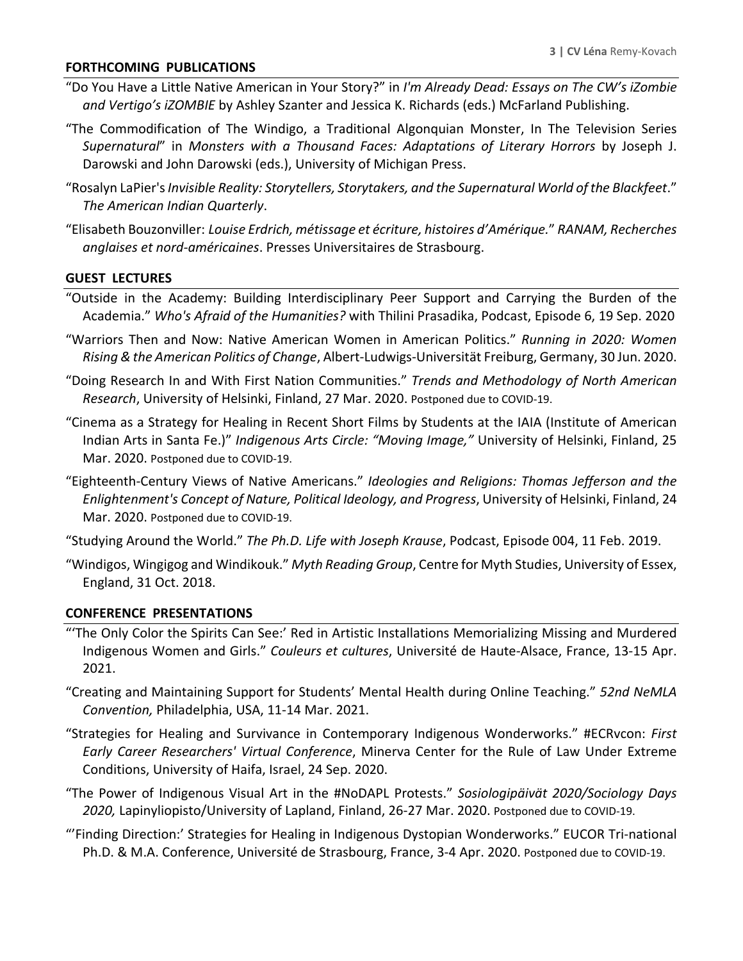#### **FORTHCOMING PUBLICATIONS**

- "Do You Have a Little Native American in Your Story?" in *I'm Already Dead: Essays on The CW's iZombie and Vertigo's iZOMBIE* by Ashley Szanter and Jessica K. Richards (eds.) McFarland Publishing.
- "The Commodification of The Windigo, a Traditional Algonquian Monster, In The Television Series *Supernatural*" in *Monsters with a Thousand Faces: Adaptations of Literary Horrors* by Joseph J. Darowski and John Darowski (eds.), University of Michigan Press.
- "Rosalyn LaPier's *Invisible Reality: Storytellers, Storytakers, and the Supernatural World of the Blackfeet*." *The American Indian Quarterly*.
- "Elisabeth Bouzonviller: *Louise Erdrich, métissage et écriture, histoires d'Amérique.*" *RANAM, Recherches anglaises et nord-américaines*. Presses Universitaires de Strasbourg.

#### **GUEST LECTURES**

- "Outside in the Academy: Building Interdisciplinary Peer Support and Carrying the Burden of the Academia." *Who's Afraid of the Humanities?* with Thilini Prasadika, Podcast, Episode 6, 19 Sep. 2020
- "Warriors Then and Now: Native American Women in American Politics." *Running in 2020: Women Rising & the American Politics of Change*, Albert-Ludwigs-Universität Freiburg, Germany, 30 Jun. 2020.
- "Doing Research In and With First Nation Communities." *Trends and Methodology of North American Research*, University of Helsinki, Finland, 27 Mar. 2020. Postponed due to COVID-19.
- "Cinema as a Strategy for Healing in Recent Short Films by Students at the IAIA (Institute of American Indian Arts in Santa Fe.)" *Indigenous Arts Circle: "Moving Image,"* University of Helsinki, Finland, 25 Mar. 2020. Postponed due to COVID-19.
- "Eighteenth-Century Views of Native Americans." *Ideologies and Religions: Thomas Jefferson and the Enlightenment's Concept of Nature, Political Ideology, and Progress*, University of Helsinki, Finland, 24 Mar. 2020. Postponed due to COVID-19.
- "Studying Around the World." *The Ph.D. Life with Joseph Krause*, Podcast, Episode 004, 11 Feb. 2019.
- "Windigos, Wingigog and Windikouk." *Myth Reading Group*, Centre for Myth Studies, University of Essex, England, 31 Oct. 2018.

#### **CONFERENCE PRESENTATIONS**

- "'The Only Color the Spirits Can See:' Red in Artistic Installations Memorializing Missing and Murdered Indigenous Women and Girls." *Couleurs et cultures*, Université de Haute-Alsace, France, 13-15 Apr. 2021.
- "Creating and Maintaining Support for Students' Mental Health during Online Teaching." *52nd NeMLA Convention,* Philadelphia, USA, 11-14 Mar. 2021.
- "Strategies for Healing and Survivance in Contemporary Indigenous Wonderworks." #ECRvcon: *First Early Career Researchers' Virtual Conference*, Minerva Center for the Rule of Law Under Extreme Conditions, University of Haifa, Israel, 24 Sep. 2020.
- "The Power of Indigenous Visual Art in the #NoDAPL Protests." *Sosiologipäivät 2020/Sociology Days 2020,* Lapinyliopisto/University of Lapland, Finland, 26-27 Mar. 2020. Postponed due to COVID-19.
- "'Finding Direction:' Strategies for Healing in Indigenous Dystopian Wonderworks." EUCOR Tri-national Ph.D. & M.A. Conference, Université de Strasbourg, France, 3-4 Apr. 2020. Postponed due to COVID-19.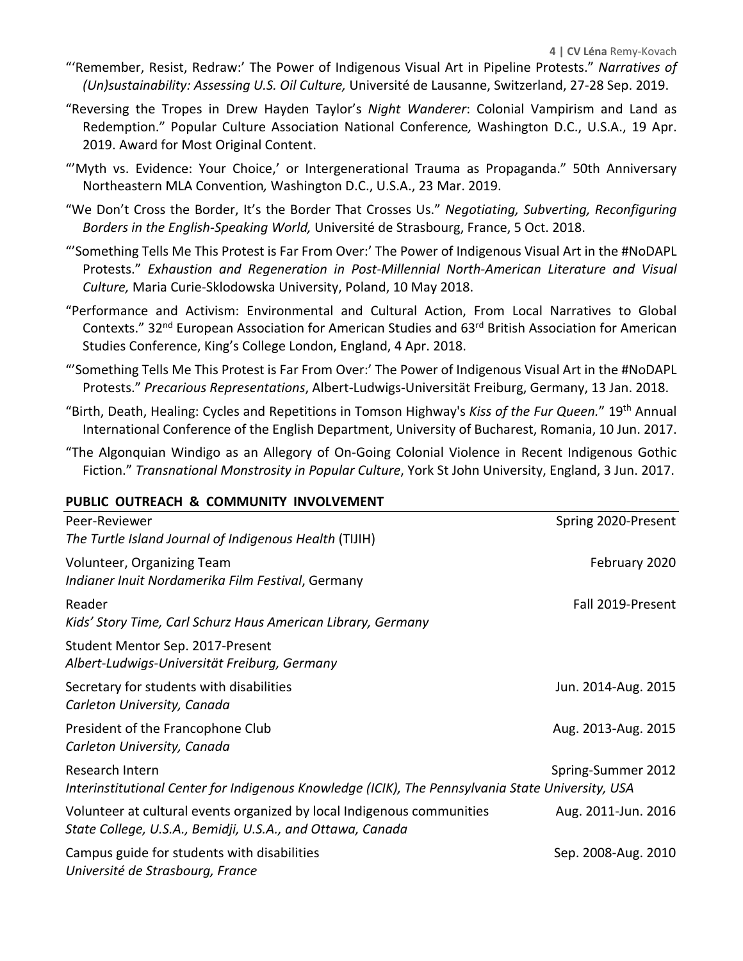- "'Remember, Resist, Redraw:' The Power of Indigenous Visual Art in Pipeline Protests." *Narratives of (Un)sustainability: Assessing U.S. Oil Culture,* Université de Lausanne, Switzerland, 27-28 Sep. 2019.
- "Reversing the Tropes in Drew Hayden Taylor's *Night Wanderer*: Colonial Vampirism and Land as Redemption." Popular Culture Association National Conference*,* Washington D.C., U.S.A., 19 Apr. 2019. Award for Most Original Content.
- "'Myth vs. Evidence: Your Choice,' or Intergenerational Trauma as Propaganda." 50th Anniversary Northeastern MLA Convention*,* Washington D.C., U.S.A., 23 Mar. 2019.
- "We Don't Cross the Border, It's the Border That Crosses Us." *Negotiating, Subverting, Reconfiguring Borders in the English-Speaking World,* Université de Strasbourg, France, 5 Oct. 2018.
- "'Something Tells Me This Protest is Far From Over:' The Power of Indigenous Visual Art in the #NoDAPL Protests." *Exhaustion and Regeneration in Post-Millennial North-American Literature and Visual Culture,* Maria Curie-Sklodowska University, Poland, 10 May 2018.
- "Performance and Activism: Environmental and Cultural Action, From Local Narratives to Global Contexts." 32nd European Association for American Studies and 63rd British Association for American Studies Conference, King's College London, England, 4 Apr. 2018.
- "'Something Tells Me This Protest is Far From Over:' The Power of Indigenous Visual Art in the #NoDAPL Protests." *Precarious Representations*, Albert-Ludwigs-Universität Freiburg, Germany, 13 Jan. 2018.
- "Birth, Death, Healing: Cycles and Repetitions in Tomson Highway's *Kiss of the Fur Queen.*" 19th Annual International Conference of the English Department, University of Bucharest, Romania, 10 Jun. 2017.
- "The Algonquian Windigo as an Allegory of On-Going Colonial Violence in Recent Indigenous Gothic Fiction." *Transnational Monstrosity in Popular Culture*, York St John University, England, 3 Jun. 2017.

#### **PUBLIC OUTREACH & COMMUNITY INVOLVEMENT**

| Peer-Reviewer                                                                                     | Spring 2020-Present |
|---------------------------------------------------------------------------------------------------|---------------------|
| The Turtle Island Journal of Indigenous Health (TIJIH)                                            |                     |
| Volunteer, Organizing Team                                                                        | February 2020       |
| Indianer Inuit Nordamerika Film Festival, Germany                                                 |                     |
| Reader                                                                                            | Fall 2019-Present   |
| Kids' Story Time, Carl Schurz Haus American Library, Germany                                      |                     |
| Student Mentor Sep. 2017-Present                                                                  |                     |
| Albert-Ludwigs-Universität Freiburg, Germany                                                      |                     |
| Secretary for students with disabilities                                                          | Jun. 2014-Aug. 2015 |
| Carleton University, Canada                                                                       |                     |
| President of the Francophone Club                                                                 | Aug. 2013-Aug. 2015 |
| Carleton University, Canada                                                                       |                     |
| Research Intern                                                                                   | Spring-Summer 2012  |
| Interinstitutional Center for Indigenous Knowledge (ICIK), The Pennsylvania State University, USA |                     |
| Volunteer at cultural events organized by local Indigenous communities                            | Aug. 2011-Jun. 2016 |
| State College, U.S.A., Bemidji, U.S.A., and Ottawa, Canada                                        |                     |
| Campus guide for students with disabilities                                                       | Sep. 2008-Aug. 2010 |
| Université de Strasbourg, France                                                                  |                     |